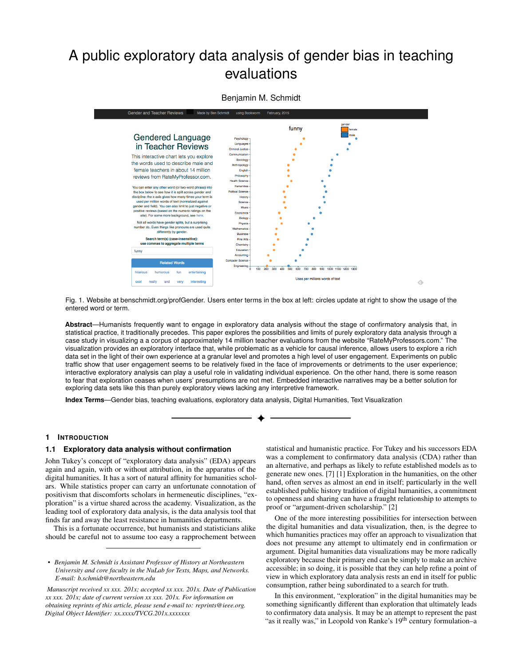# A public exploratory data analysis of gender bias in teaching evaluations



## Benjamin M. Schmidt

Fig. 1. Website at benschmidt.org/profGender. Users enter terms in the box at left: circles update at right to show the usage of the entered word or term.

**Abstract**—Humanists frequently want to engage in exploratory data analysis without the stage of confirmatory analysis that, in statistical practice, it traditionally precedes. This paper explores the possibilities and limits of purely exploratory data analysis through a case study in visualizing a a corpus of approximately 14 million teacher evaluations from the website "RateMyProfessors.com." The visualization provides an exploratory interface that, while problematic as a vehicle for causal inference, allows users to explore a rich data set in the light of their own experience at a granular level and promotes a high level of user engagement. Experiments on public traffic show that user engagement seems to be relatively fixed in the face of improvements or detriments to the user experience; interactive exploratory analysis can play a useful role in validating individual experience. On the other hand, there is some reason to fear that exploration ceases when users' presumptions are not met. Embedded interactive narratives may be a better solution for exploring data sets like this than purely exploratory views lacking any interpretive framework.

**Index Terms**—Gender bias, teaching evaluations, exploratory data analysis, Digital Humanities, Text Visualization

#### **1 INTRODUCTION**

#### **1.1 Exploratory data analysis without confirmation**

John Tukey's concept of "exploratory data analysis" (EDA) appears again and again, with or without attribution, in the apparatus of the digital humanities. It has a sort of natural affinity for humanities scholars. While statistics proper can carry an unfortunate connotation of positivism that discomforts scholars in hermeneutic disciplines, "exploration" is a virtue shared across the academy. Visualization, as the leading tool of exploratory data analysis, is the data analysis tool that finds far and away the least resistance in humanities departments.

This is a fortunate occurrence, but humanists and statisticians alike should be careful not to assume too easy a rapprochement between

*• Benjamin M. Schmidt is Assistant Professor of History at Northeastern University and core faculty in the NuLab for Texts, Maps, and Networks. E-mail: b.schmidt@northeastern.edu*

*Manuscript received xx xxx. 201x; accepted xx xxx. 201x. Date of Publication xx xxx. 201x; date of current version xx xxx. 201x. For information on obtaining reprints of this article, please send e-mail to: reprints@ieee.org. Digital Object Identifier: xx.xxxx/TVCG.201x.xxxxxxx*

statistical and humanistic practice. For Tukey and his successors EDA was a complement to confirmatory data analysis (CDA) rather than an alternative, and perhaps as likely to refute established models as to generate new ones. [\[7\]](#page-3-0) [\[1\]](#page-3-1) Exploration in the humanities, on the other hand, often serves as almost an end in itself; particularly in the well established public history tradition of digital humanities, a commitment to openness and sharing can have a fraught relationship to attempts to proof or "argument-driven scholarship." [\[2\]](#page-3-2)

One of the more interesting possibilities for intersection between the digital humanities and data visualization, then, is the degree to which humanities practices may offer an approach to visualization that does not presume any attempt to ultimately end in confirmation or argument. Digital humanities data visualizations may be more radically exploratory because their primary end can be simply to make an archive accessible; in so doing, it is possible that they can help refine a point of view in which exploratory data analysis rests an end in itself for public consumption, rather being subordinated to a search for truth.

In this environment, "exploration" in the digital humanities may be something significantly different than exploration that ultimately leads to confirmatory data analysis. It may be an attempt to represent the past "as it really was," in Leopold von Ranke's 19<sup>th</sup> century formulation–a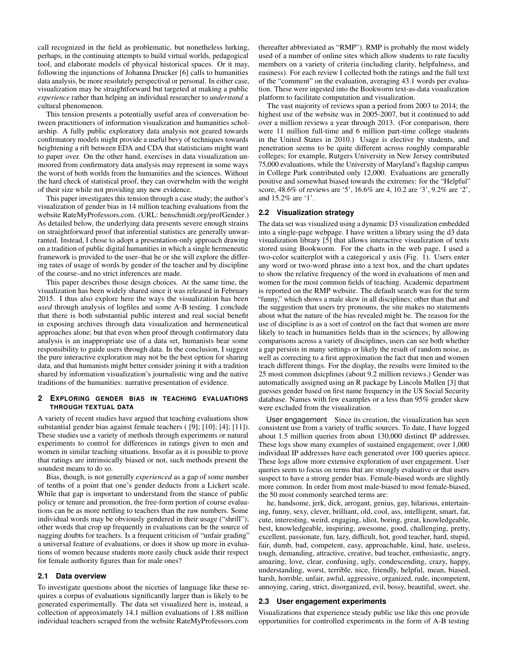call recognized in the field as problematic, but nonetheless lurking, perhaps, in the continuing attempts to build virtual worlds, pedagogical tool, and elaborate models of physical historical spaces. Or it may, following the injunctions of Johanna Drucker [\[6\]](#page-3-3) calls to humanities data analysis, be more resolutely perspectival or personal. In either case, visualization may be straightforward but targeted at making a public *experience* rather than helping an individual researcher to *understand* a cultural phenomenon.

This tension presents a potentially useful area of conversation between practitioners of information visualization and humanities scholarship. A fully public exploratory data analysis not geared towards confirmatory models might provide a useful bevy of techniques towards heightening a rift between EDA and CDA that statisticians might want to paper over. On the other hand, exercises in data visualization unmoored from confirmatory data analysis may represent in some ways the worst of both worlds from the humanities and the sciences. Without the hard check of statistical proof, they can overwhelm with the weight of their size while not providing any new evidence.

This paper investigates this tension through a case study; the author's visualization of gender bias in 14 million teaching evaluations from the website RateMyProfessors.com. [\(URL: benschmidt.org/profGender.](http://benschmidt.org/profGender)) As detailed below, the underlying data presents severe enough strains on straightforward proof that inferential statistics are generally unwarranted. Instead, I chose to adopt a presentation-only approach drawing on a tradition of public digital humanities in which a single hermeneutic framework is provided to the user–that he or she will explore the differing rates of usage of words by gender of the teacher and by discipline of the course–and no strict inferences are made.

This paper describes those design choices. At the same time, the visualization has been widely shared since it was released in February 2015. I thus also explore here the ways the visualization has been *used* through analysis of logfiles and some A-B testing. I conclude that there is both substantial public interest and real social benefit in exposing archives through data visualization and hermeneutical approaches alone; but that even when proof through confirmatory data analysis is an inappropriate use of a data set, humanists bear some responsibility to guide users through data. In the conclusion, I suggest the pure interactive exploration may not be the best option for sharing data, and that humanists might better consider joining it with a tradition shared by information visualization's journalistic wing and the native traditions of the humanities: narrative presentation of evidence.

### **2 EXPLORING GENDER BIAS IN TEACHING EVALUATIONS THROUGH TEXTUAL DATA**

A variety of recent studies have argued that teaching evaluations show substantial gender bias against female teachers ( [\[9\]](#page-3-4); [\[10\]](#page-3-5); [\[4\]](#page-3-6); [\[11\]](#page-3-7)). These studies use a variety of methods through experiments or natural experiments to control for differences in ratings given to men and women in similar teaching situations. Insofar as it is possible to prove that ratings are intrinsically biased or not, such methods present the soundest means to do so.

Bias, though, is not generally *experienced* as a gap of some number of tenths of a point that one's gender deducts from a Lickert scale. While that gap is important to understand from the stance of public policy or tenure and promotion, the free-form portion of course evaluations can be as more nettling to teachers than the raw numbers. Some individual words may be obviously gendered in their usage ("shrill"); other words that crop up frequently in evaluations can be the source of nagging doubts for teachers. Is a frequent criticism of "unfair grading" a universal feature of evaluations, or does it show up more in evaluations of women because students more easily chuck aside their respect for female authority figures than for male ones?

#### **2.1 Data overview**

To investigate questions about the niceties of language like these requires a corpus of evaluations significantly larger than is likely to be generated experimentally. The data set visualized here is, instead, a collection of approximately 14.1 million evaluations of 1.88 million individual teachers scraped from the website RateMyProfessors.com

(hereafter abbreviated as "RMP"). RMP is probably the most widely used of a number of online sites which allow students to rate faculty members on a variety of criteria (including clarity, helpfulness, and easiness). For each review I collected both the ratings and the full text of the "comment" on the evaluation, averaging 43.1 words per evaluation. These were ingested into the Bookworm text-as-data visualization platform to facilitate computation and visualization.

The vast majority of reviews span a period from 2003 to 2014; the highest use of the website was in 2005-2007, but it continued to add over a million reviews a year through 2013. (For comparison, there were 11 million full-time and 6 million part-time college students in the United States in 2010.) Usage is elective by students, and penetration seems to be quite different across roughly comparable colleges; for example, Rutgers University in New Jersey contributed 75,000 evaluations, while the University of Maryland's flagship campus in College Park contributed only 12,000. Evaluations are generally positive and somewhat biased towards the extremes: for the "Helpful" score, 48.6% of reviews are '5', 16.6% are 4, 10.2 are '3', 9.2% are '2', and 15.2% are '1'.

#### **2.2 Visualization strategy**

The data set was visualized using a dynamic D3 visualization embedded into a single-page webpage. I have written a library using the d3 data visualization library [\[5\]](#page-3-8) that allows interactive visualization of texts stored using Bookworm. For the charts in the web page, I used a two-color scatterplot with a categorical y axis (Fig. 1). Users enter any word or two-word phrase into a text box, and the chart updates to show the relative frequency of the word in evaluations of men and women for the most common fields of teaching. Academic department is reported on the RMP website. The default search was for the term "funny," which shows a male skew in all disciplines; other than that and the suggestion that users try pronouns, the site makes no statements about what the nature of the bias revealed might be. The reason for the use of discipline is as a sort of control on the fact that women are more likely to teach in humanities fields than in the sciences; by allowing comparisons across a variety of disciplines, users can see both whether a gap persists in many settings or likely the result of random noise, as well as correcting to a first approximation the fact that men and women teach different things. For the display, the results were limited to the 25 most common dsicplines (about 9.2 million reviews.) Gender was automatically assigned using an R package by Lincoln Mullen [\[3\]](#page-3-9) that guesses gender based on first name frequency in the US Social Security database. Names with few examples or a less than 95% gender skew were excluded from the visualization.

User engagement Since its creation, the visualization has seen consistent use from a variety of traffic sources. To date, I have logged about 1.5 million queries from about 130,000 distinct IP addresses. These logs show many examples of sustained engagement; over 1,000 individual IP addresses have each generated over 100 queries apiece. These logs allow more extensive exploration of user engagement. User queries seem to focus on terms that are strongly evaluative or that users suspect to have a strong gender bias. Female-biased words are slightly more common. In order from most male-biased to most female-biased, the 50 most commonly searched terms are:

he, handsome, jerk, dick, arrogant, genius, gay, hilarious, entertaining, funny, sexy, clever, brilliant, old, cool, ass, intelligent, smart, fat, cute, interesting, weird, engaging, idiot, boring, great, knowledgeable, best, knowledgeable, inspiring, awesome, good, challenging, pretty, excellent, passionate, fun, lazy, difficult, hot, good teacher, hard, stupid, fair, dumb, bad, competent, easy, approachable, kind, hate, useless, tough, demanding, attractive, creative, bad teacher, enthusiastic, angry, amazing, love, clear, confusing, ugly, condescending, crazy, happy, understanding, worst, terrible, nice, friendly, helpful, mean, biased, harsh, horrible, unfair, awful, aggressive, organized, rude, incompetent, annoying, caring, strict, disorganized, evil, bossy, beautiful, sweet, she.

#### **2.3 User engagement experiments**

Visualizations that experience steady public use like this one provide opportunities for controlled experiments in the form of A-B testing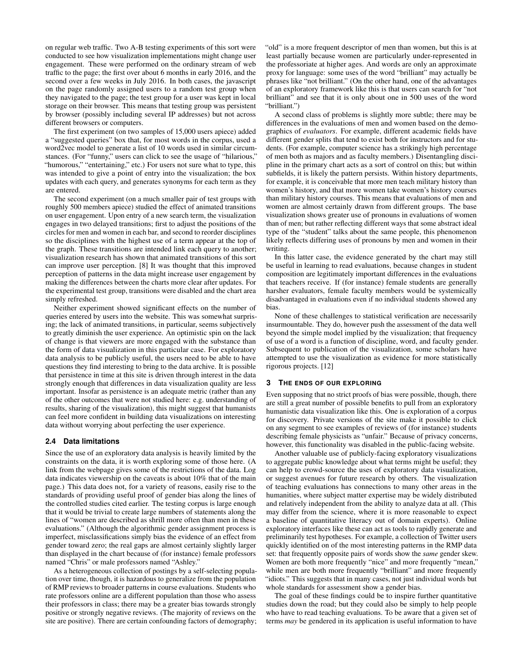on regular web traffic. Two A-B testing experiments of this sort were conducted to see how visualization implementations might change user engagement. These were performed on the ordinary stream of web traffic to the page; the first over about 6 months in early 2016, and the second over a few weeks in July 2016. In both cases, the javascript on the page randomly assigned users to a random test group when they navigated to the page; the test group for a user was kept in local storage on their browser. This means that testing group was persistent by browser (possibly including several IP addresses) but not across different browsers or computers.

The first experiment (on two samples of 15,000 users apiece) added a "suggested queries" box that, for most words in the corpus, used a word2vec model to generate a list of 10 words used in similar circumstances. (For "funny," users can click to see the usage of "hilarious," "humorous," "entertaining," etc.) For users not sure what to type, this was intended to give a point of entry into the visualization; the box updates with each query, and generates synonyms for each term as they are entered.

The second experiment (on a much smaller pair of test groups with roughly 500 members apiece) studied the effect of animated transitions on user engagement. Upon entry of a new search term, the visualization engages in two delayed transitions; first to adjust the positions of the circles for men and women in each bar, and second to reorder disciplines so the disciplines with the highest use of a term appear at the top of the graph. These transitions are intended link each query to another; visualization research has shown that animated transitions of this sort can improve user perception. [\[8\]](#page-3-10) It was thought that this improved perception of patterns in the data might increase user engagement by making the differences between the charts more clear after updates. For the experimental test group, transitions were disabled and the chart area simply refreshed.

Neither experiment showed significant effects on the number of queries entered by users into the website. This was somewhat surprising; the lack of animated transitions, in particular, seems subjectively to greatly diminish the user experience. An optimistic spin on the lack of change is that viewers are more engaged with the substance than the form of data visualization in this particular case. For exploratory data analysis to be publicly useful, the users need to be able to have questions they find interesting to bring to the data archive. It is possible that persistence in time at this site is driven through interest in the data strongly enough that differences in data visualization quality are less important. Insofar as persistence is an adequate metric (rather than any of the other outcomes that were not studied here: e.g. understanding of results, sharing of the visualization), this might suggest that humanists can feel more confident in building data visualizations on interesting data without worrying about perfecting the user experience.

#### **2.4 Data limitations**

Since the use of an exploratory data analysis is heavily limited by the constraints on the data, it is worth exploring some of those here. (A link from the webpage gives some of the restrictions of the data. Log data indicates viewership on the caveats is about 10% that of the main page.) This data does not, for a variety of reasons, easily rise to the standards of providing useful proof of gender bias along the lines of the controlled studies cited earlier. The testing corpus is large enough that it would be trivial to create large numbers of statements along the lines of "women are described as shrill more often than men in these evaluations." (Although the algorithmic gender assignment process is imperfect, misclassifications simply bias the evidence of an effect from gender toward zero; the real gaps are almost certainly slightly larger than displayed in the chart because of (for instance) female professors named "Chris" or male professors named "Ashley."

As a heterogeneous collection of postings by a self-selecting population over time, though, it is hazardous to generalize from the population of RMP reviews to broader patterns in course evaluations. Students who rate professors online are a different population than those who assess their professors in class; there may be a greater bias towards strongly positive or strongly negative reviews. (The majority of reviews on the site are positive). There are certain confounding factors of demography; "old" is a more frequent descriptor of men than women, but this is at least partially because women are particularly under-represented in the professoriate at higher ages. And words are only an approximate proxy for language: some uses of the word "brilliant" may actually be phrases like "not brilliant." (On the other hand, one of the advantages of an exploratory framework like this is that users can search for "not brilliant" and see that it is only about one in 500 uses of the word "brilliant.")

A second class of problems is slightly more subtle; there may be differences in the evaluations of men and women based on the demographics of *evaluators*. For example, different academic fields have different gender splits that tend to exist both for instructors and for students. (For example, computer science has a strikingly high percentage of men both as majors and as faculty members.) Disentangling discipline in the primary chart acts as a sort of control on this; but within subfields, it is likely the pattern persists. Within history departments, for example, it is conceivable that more men teach military history than women's history, and that more women take women's history courses than military history courses. This means that evaluations of men and women are almost certainly drawn from different groups. The base visualization shows greater use of pronouns in evaluations of women than of men; but rather reflecting different ways that some abstract ideal type of the "student" talks about the same people, this phenomenon likely reflects differing uses of pronouns by men and women in their writing.

In this latter case, the evidence generated by the chart may still be useful in learning to read evaluations, because changes in student composition are legitimately important differences in the evaluations that teachers receive. If (for instance) female students are generally harsher evaluators, female faculty members would be systemically disadvantaged in evaluations even if no individual students showed any bias.

None of these challenges to statistical verification are necessarily insurmountable. They do, however push the assessment of the data well beyond the simple model implied by the visualization; that frequency of use of a word is a function of discipline, word, and faculty gender. Subsequent to publication of the visualization, some scholars have attempted to use the visualization as evidence for more statistically rigorous projects. [\[12\]](#page-3-11)

#### **3 THE ENDS OF OUR EXPLORING**

Even supposing that no strict proofs of bias were possible, though, there are still a great number of possible benefits to pull from an exploratory humanistic data visualization like this. One is exploration of a corpus for discovery. Private versions of the site make it possible to click on any segment to see examples of reviews of (for instance) students describing female physicists as "unfair." Because of privacy concerns, however, this functionality was disabled in the public-facing website.

Another valuable use of publicly-facing exploratory visualizations to aggregate public knowledge about what terms might be useful; they can help to crowd-source the uses of exploratory data visualization, or suggest avenues for future research by others. The visualization of teaching evaluations has connections to many other areas in the humanities, where subject matter expertise may be widely distributed and relatively independent from the ability to analyze data at all. (This may differ from the science, where it is more reasonable to expect a baseline of quantitative literacy out of domain experts). Online exploratory interfaces like these can act as tools to rapidly generate and preliminarily test hypotheses. For example, a collection of Twitter users quickly identified on of the most interesting patterns in the RMP data set: that frequently opposite pairs of words show the *same* gender skew. Women are both more frequently "nice" and more frequently "mean," while men are both more frequently "brilliant" and more frequently "idiots." This suggests that in many cases, not just individual words but whole standards for assessment show a gender bias.

The goal of these findings could be to inspire further quantitative studies down the road; but they could also be simply to help people who have to read teaching evaluations. To be aware that a given set of terms *may* be gendered in its application is useful information to have